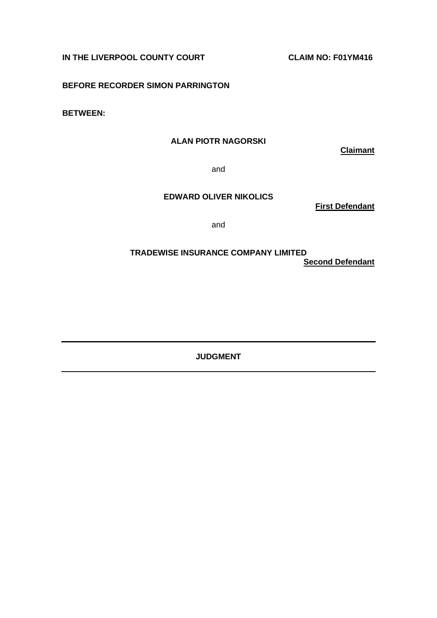**IN THE LIVERPOOL COUNTY COURT COUNT COUNT COUNT CLAIM NO: F01YM416** 

**BEFORE RECORDER SIMON PARRINGTON**

**BETWEEN:**

# **ALAN PIOTR NAGORSKI**

**Claimant**

and

### **EDWARD OLIVER NIKOLICS**

**First Defendant**

and

## **TRADEWISE INSURANCE COMPANY LIMITED Second Defendant**

**JUDGMENT**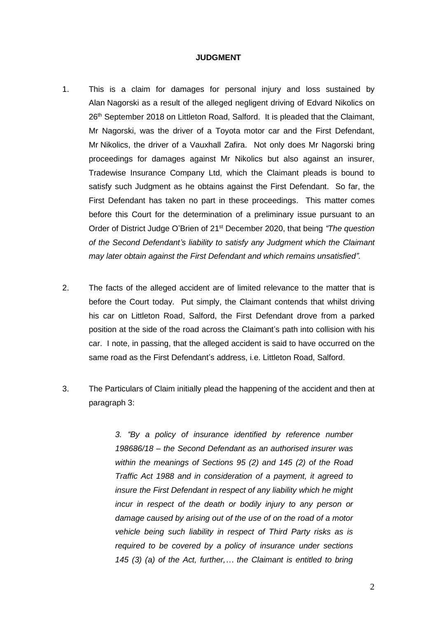#### **JUDGMENT**

- 1. This is a claim for damages for personal injury and loss sustained by Alan Nagorski as a result of the alleged negligent driving of Edvard Nikolics on 26<sup>th</sup> September 2018 on Littleton Road, Salford. It is pleaded that the Claimant, Mr Nagorski, was the driver of a Toyota motor car and the First Defendant, Mr Nikolics, the driver of a Vauxhall Zafira. Not only does Mr Nagorski bring proceedings for damages against Mr Nikolics but also against an insurer, Tradewise Insurance Company Ltd, which the Claimant pleads is bound to satisfy such Judgment as he obtains against the First Defendant. So far, the First Defendant has taken no part in these proceedings. This matter comes before this Court for the determination of a preliminary issue pursuant to an Order of District Judge O'Brien of 21st December 2020, that being *"The question of the Second Defendant's liability to satisfy any Judgment which the Claimant may later obtain against the First Defendant and which remains unsatisfied".*
- 2. The facts of the alleged accident are of limited relevance to the matter that is before the Court today. Put simply, the Claimant contends that whilst driving his car on Littleton Road, Salford, the First Defendant drove from a parked position at the side of the road across the Claimant's path into collision with his car. I note, in passing, that the alleged accident is said to have occurred on the same road as the First Defendant's address, i.e. Littleton Road, Salford.
- 3. The Particulars of Claim initially plead the happening of the accident and then at paragraph 3:

*3. "By a policy of insurance identified by reference number 198686/18 – the Second Defendant as an authorised insurer was within the meanings of Sections 95 (2) and 145 (2) of the Road Traffic Act 1988 and in consideration of a payment, it agreed to insure the First Defendant in respect of any liability which he might incur in respect of the death or bodily injury to any person or damage caused by arising out of the use of on the road of a motor vehicle being such liability in respect of Third Party risks as is required to be covered by a policy of insurance under sections 145 (3) (a) of the Act, further,… the Claimant is entitled to bring*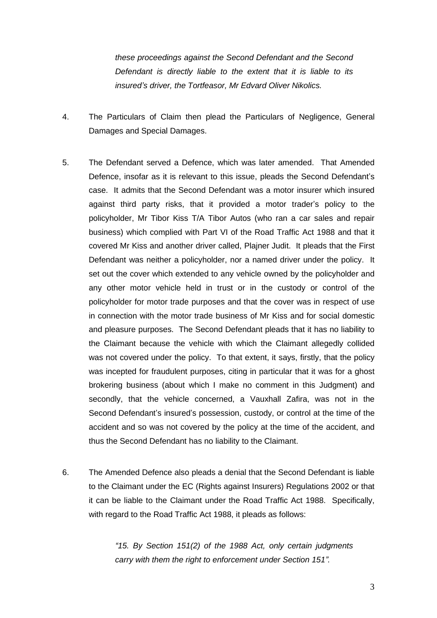*these proceedings against the Second Defendant and the Second Defendant is directly liable to the extent that it is liable to its insured's driver, the Tortfeasor, Mr Edvard Oliver Nikolics.* 

- 4. The Particulars of Claim then plead the Particulars of Negligence, General Damages and Special Damages.
- 5. The Defendant served a Defence, which was later amended. That Amended Defence, insofar as it is relevant to this issue, pleads the Second Defendant's case. It admits that the Second Defendant was a motor insurer which insured against third party risks, that it provided a motor trader's policy to the policyholder, Mr Tibor Kiss T/A Tibor Autos (who ran a car sales and repair business) which complied with Part VI of the Road Traffic Act 1988 and that it covered Mr Kiss and another driver called, Plajner Judit. It pleads that the First Defendant was neither a policyholder, nor a named driver under the policy. It set out the cover which extended to any vehicle owned by the policyholder and any other motor vehicle held in trust or in the custody or control of the policyholder for motor trade purposes and that the cover was in respect of use in connection with the motor trade business of Mr Kiss and for social domestic and pleasure purposes. The Second Defendant pleads that it has no liability to the Claimant because the vehicle with which the Claimant allegedly collided was not covered under the policy. To that extent, it says, firstly, that the policy was incepted for fraudulent purposes, citing in particular that it was for a ghost brokering business (about which I make no comment in this Judgment) and secondly, that the vehicle concerned, a Vauxhall Zafira, was not in the Second Defendant's insured's possession, custody, or control at the time of the accident and so was not covered by the policy at the time of the accident, and thus the Second Defendant has no liability to the Claimant.
- 6. The Amended Defence also pleads a denial that the Second Defendant is liable to the Claimant under the EC (Rights against Insurers) Regulations 2002 or that it can be liable to the Claimant under the Road Traffic Act 1988. Specifically, with regard to the Road Traffic Act 1988, it pleads as follows:

*"15. By Section 151(2) of the 1988 Act, only certain judgments carry with them the right to enforcement under Section 151".*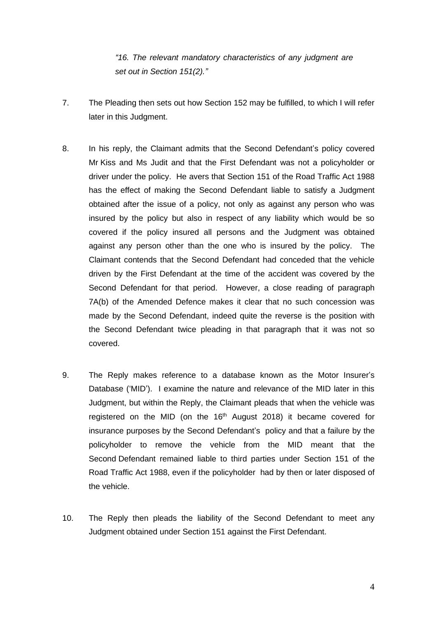*"16. The relevant mandatory characteristics of any judgment are set out in Section 151(2)."*

- 7. The Pleading then sets out how Section 152 may be fulfilled, to which I will refer later in this Judgment.
- 8. In his reply, the Claimant admits that the Second Defendant's policy covered Mr Kiss and Ms Judit and that the First Defendant was not a policyholder or driver under the policy. He avers that Section 151 of the Road Traffic Act 1988 has the effect of making the Second Defendant liable to satisfy a Judgment obtained after the issue of a policy, not only as against any person who was insured by the policy but also in respect of any liability which would be so covered if the policy insured all persons and the Judgment was obtained against any person other than the one who is insured by the policy. The Claimant contends that the Second Defendant had conceded that the vehicle driven by the First Defendant at the time of the accident was covered by the Second Defendant for that period. However, a close reading of paragraph 7A(b) of the Amended Defence makes it clear that no such concession was made by the Second Defendant, indeed quite the reverse is the position with the Second Defendant twice pleading in that paragraph that it was not so covered.
- 9. The Reply makes reference to a database known as the Motor Insurer's Database ('MID'). I examine the nature and relevance of the MID later in this Judgment, but within the Reply, the Claimant pleads that when the vehicle was registered on the MID (on the  $16<sup>th</sup>$  August 2018) it became covered for insurance purposes by the Second Defendant's policy and that a failure by the policyholder to remove the vehicle from the MID meant that the Second Defendant remained liable to third parties under Section 151 of the Road Traffic Act 1988, even if the policyholder had by then or later disposed of the vehicle.
- 10. The Reply then pleads the liability of the Second Defendant to meet any Judgment obtained under Section 151 against the First Defendant.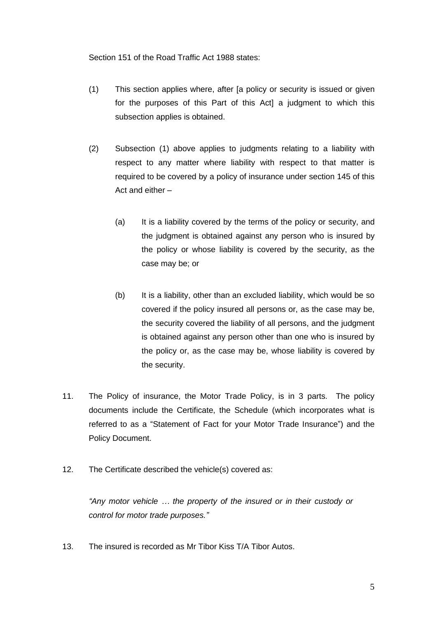Section 151 of the Road Traffic Act 1988 states:

- (1) This section applies where, after [a policy or security is issued or given for the purposes of this Part of this Act] a judgment to which this subsection applies is obtained.
- (2) Subsection (1) above applies to judgments relating to a liability with respect to any matter where liability with respect to that matter is required to be covered by a policy of insurance under section 145 of this Act and either –
	- (a) It is a liability covered by the terms of the policy or security, and the judgment is obtained against any person who is insured by the policy or whose liability is covered by the security, as the case may be; or
	- (b) It is a liability, other than an excluded liability, which would be so covered if the policy insured all persons or, as the case may be, the security covered the liability of all persons, and the judgment is obtained against any person other than one who is insured by the policy or, as the case may be, whose liability is covered by the security.
- 11. The Policy of insurance, the Motor Trade Policy, is in 3 parts. The policy documents include the Certificate, the Schedule (which incorporates what is referred to as a "Statement of Fact for your Motor Trade Insurance") and the Policy Document.
- 12. The Certificate described the vehicle(s) covered as:

*"Any motor vehicle … the property of the insured or in their custody or control for motor trade purposes."*

13. The insured is recorded as Mr Tibor Kiss T/A Tibor Autos.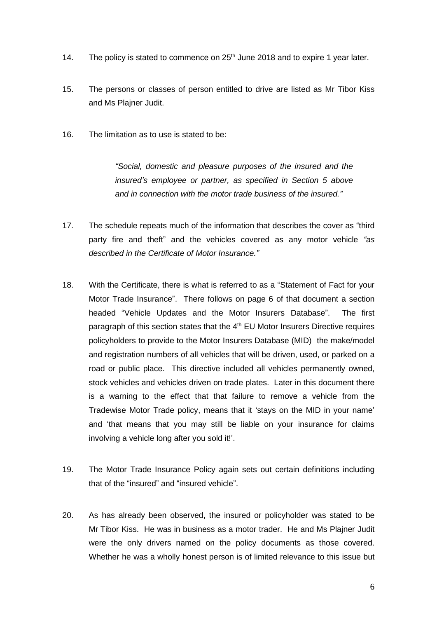- 14. The policy is stated to commence on  $25<sup>th</sup>$  June 2018 and to expire 1 year later.
- 15. The persons or classes of person entitled to drive are listed as Mr Tibor Kiss and Ms Plajner Judit.
- 16. The limitation as to use is stated to be:

*"Social, domestic and pleasure purposes of the insured and the insured's employee or partner, as specified in Section 5 above and in connection with the motor trade business of the insured."*

- 17. The schedule repeats much of the information that describes the cover as "third party fire and theft" and the vehicles covered as any motor vehicle *"as described in the Certificate of Motor Insurance."*
- 18. With the Certificate, there is what is referred to as a "Statement of Fact for your Motor Trade Insurance". There follows on page 6 of that document a section headed "Vehicle Updates and the Motor Insurers Database". The first paragraph of this section states that the  $4<sup>th</sup>$  EU Motor Insurers Directive requires policyholders to provide to the Motor Insurers Database (MID) the make/model and registration numbers of all vehicles that will be driven, used, or parked on a road or public place. This directive included all vehicles permanently owned, stock vehicles and vehicles driven on trade plates. Later in this document there is a warning to the effect that that failure to remove a vehicle from the Tradewise Motor Trade policy, means that it 'stays on the MID in your name' and 'that means that you may still be liable on your insurance for claims involving a vehicle long after you sold it!'.
- 19. The Motor Trade Insurance Policy again sets out certain definitions including that of the "insured" and "insured vehicle".
- 20. As has already been observed, the insured or policyholder was stated to be Mr Tibor Kiss. He was in business as a motor trader. He and Ms Plajner Judit were the only drivers named on the policy documents as those covered. Whether he was a wholly honest person is of limited relevance to this issue but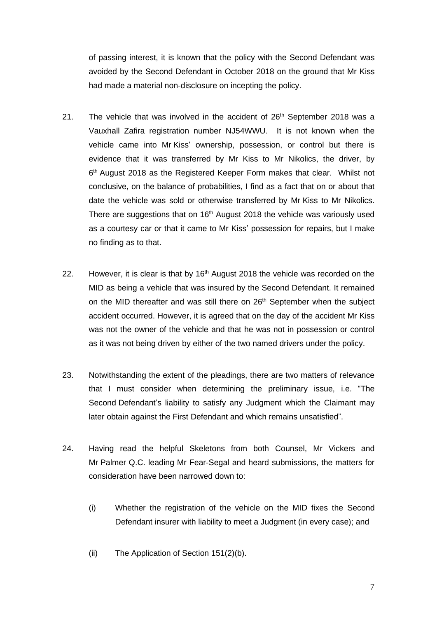of passing interest, it is known that the policy with the Second Defendant was avoided by the Second Defendant in October 2018 on the ground that Mr Kiss had made a material non-disclosure on incepting the policy.

- 21. The vehicle that was involved in the accident of  $26<sup>th</sup>$  September 2018 was a Vauxhall Zafira registration number NJ54WWU. It is not known when the vehicle came into Mr Kiss' ownership, possession, or control but there is evidence that it was transferred by Mr Kiss to Mr Nikolics, the driver, by 6 th August 2018 as the Registered Keeper Form makes that clear. Whilst not conclusive, on the balance of probabilities, I find as a fact that on or about that date the vehicle was sold or otherwise transferred by Mr Kiss to Mr Nikolics. There are suggestions that on  $16<sup>th</sup>$  August 2018 the vehicle was variously used as a courtesy car or that it came to Mr Kiss' possession for repairs, but I make no finding as to that.
- 22. However, it is clear is that by  $16<sup>th</sup>$  August 2018 the vehicle was recorded on the MID as being a vehicle that was insured by the Second Defendant. It remained on the MID thereafter and was still there on 26<sup>th</sup> September when the subject accident occurred. However, it is agreed that on the day of the accident Mr Kiss was not the owner of the vehicle and that he was not in possession or control as it was not being driven by either of the two named drivers under the policy.
- 23. Notwithstanding the extent of the pleadings, there are two matters of relevance that I must consider when determining the preliminary issue, i.e. "The Second Defendant's liability to satisfy any Judgment which the Claimant may later obtain against the First Defendant and which remains unsatisfied".
- 24. Having read the helpful Skeletons from both Counsel, Mr Vickers and Mr Palmer Q.C. leading Mr Fear-Segal and heard submissions, the matters for consideration have been narrowed down to:
	- (i) Whether the registration of the vehicle on the MID fixes the Second Defendant insurer with liability to meet a Judgment (in every case); and
	- (ii) The Application of Section 151(2)(b).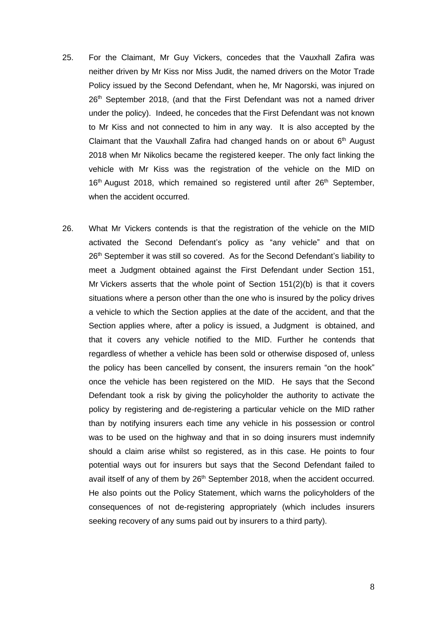- 25. For the Claimant, Mr Guy Vickers, concedes that the Vauxhall Zafira was neither driven by Mr Kiss nor Miss Judit, the named drivers on the Motor Trade Policy issued by the Second Defendant, when he, Mr Nagorski, was injured on 26<sup>th</sup> September 2018, (and that the First Defendant was not a named driver under the policy). Indeed, he concedes that the First Defendant was not known to Mr Kiss and not connected to him in any way. It is also accepted by the Claimant that the Vauxhall Zafira had changed hands on or about 6<sup>th</sup> August 2018 when Mr Nikolics became the registered keeper. The only fact linking the vehicle with Mr Kiss was the registration of the vehicle on the MID on 16<sup>th</sup> August 2018, which remained so registered until after 26<sup>th</sup> September, when the accident occurred.
- 26. What Mr Vickers contends is that the registration of the vehicle on the MID activated the Second Defendant's policy as "any vehicle" and that on 26<sup>th</sup> September it was still so covered. As for the Second Defendant's liability to meet a Judgment obtained against the First Defendant under Section 151, Mr Vickers asserts that the whole point of Section  $151(2)(b)$  is that it covers situations where a person other than the one who is insured by the policy drives a vehicle to which the Section applies at the date of the accident, and that the Section applies where, after a policy is issued, a Judgment is obtained, and that it covers any vehicle notified to the MID. Further he contends that regardless of whether a vehicle has been sold or otherwise disposed of, unless the policy has been cancelled by consent, the insurers remain "on the hook" once the vehicle has been registered on the MID. He says that the Second Defendant took a risk by giving the policyholder the authority to activate the policy by registering and de-registering a particular vehicle on the MID rather than by notifying insurers each time any vehicle in his possession or control was to be used on the highway and that in so doing insurers must indemnify should a claim arise whilst so registered, as in this case. He points to four potential ways out for insurers but says that the Second Defendant failed to avail itself of any of them by 26<sup>th</sup> September 2018, when the accident occurred. He also points out the Policy Statement, which warns the policyholders of the consequences of not de-registering appropriately (which includes insurers seeking recovery of any sums paid out by insurers to a third party).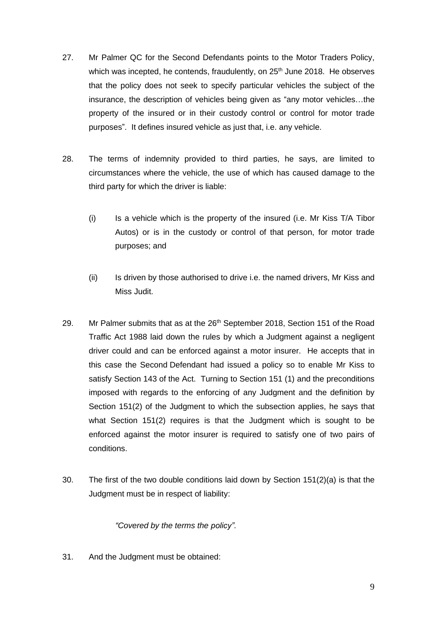- 27. Mr Palmer QC for the Second Defendants points to the Motor Traders Policy, which was incepted, he contends, fraudulently, on 25<sup>th</sup> June 2018. He observes that the policy does not seek to specify particular vehicles the subject of the insurance, the description of vehicles being given as "any motor vehicles…the property of the insured or in their custody control or control for motor trade purposes". It defines insured vehicle as just that, i.e. any vehicle.
- 28. The terms of indemnity provided to third parties, he says, are limited to circumstances where the vehicle, the use of which has caused damage to the third party for which the driver is liable:
	- (i) Is a vehicle which is the property of the insured (i.e. Mr Kiss T/A Tibor Autos) or is in the custody or control of that person, for motor trade purposes; and
	- (ii) Is driven by those authorised to drive i.e. the named drivers, Mr Kiss and Miss Judit.
- 29. Mr Palmer submits that as at the  $26<sup>th</sup>$  September 2018, Section 151 of the Road Traffic Act 1988 laid down the rules by which a Judgment against a negligent driver could and can be enforced against a motor insurer. He accepts that in this case the Second Defendant had issued a policy so to enable Mr Kiss to satisfy Section 143 of the Act. Turning to Section 151 (1) and the preconditions imposed with regards to the enforcing of any Judgment and the definition by Section 151(2) of the Judgment to which the subsection applies, he says that what Section 151(2) requires is that the Judgment which is sought to be enforced against the motor insurer is required to satisfy one of two pairs of conditions.
- 30. The first of the two double conditions laid down by Section 151(2)(a) is that the Judgment must be in respect of liability:

*"Covered by the terms the policy".*

31. And the Judgment must be obtained: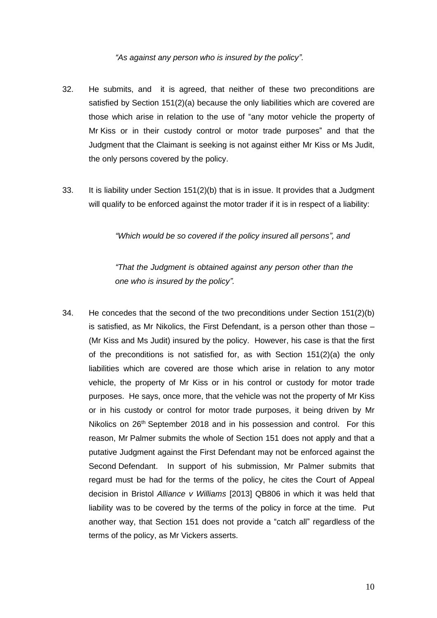#### *"As against any person who is insured by the policy".*

- 32. He submits, and it is agreed, that neither of these two preconditions are satisfied by Section 151(2)(a) because the only liabilities which are covered are those which arise in relation to the use of "any motor vehicle the property of Mr Kiss or in their custody control or motor trade purposes" and that the Judgment that the Claimant is seeking is not against either Mr Kiss or Ms Judit, the only persons covered by the policy.
- 33. It is liability under Section 151(2)(b) that is in issue. It provides that a Judgment will qualify to be enforced against the motor trader if it is in respect of a liability:

*"Which would be so covered if the policy insured all persons", and*

*"That the Judgment is obtained against any person other than the one who is insured by the policy".*

34. He concedes that the second of the two preconditions under Section 151(2)(b) is satisfied, as Mr Nikolics, the First Defendant, is a person other than those – (Mr Kiss and Ms Judit) insured by the policy. However, his case is that the first of the preconditions is not satisfied for, as with Section 151(2)(a) the only liabilities which are covered are those which arise in relation to any motor vehicle, the property of Mr Kiss or in his control or custody for motor trade purposes. He says, once more, that the vehicle was not the property of Mr Kiss or in his custody or control for motor trade purposes, it being driven by Mr Nikolics on 26<sup>th</sup> September 2018 and in his possession and control. For this reason, Mr Palmer submits the whole of Section 151 does not apply and that a putative Judgment against the First Defendant may not be enforced against the Second Defendant. In support of his submission, Mr Palmer submits that regard must be had for the terms of the policy, he cites the Court of Appeal decision in Bristol *Alliance v Williams* [2013] QB806 in which it was held that liability was to be covered by the terms of the policy in force at the time. Put another way, that Section 151 does not provide a "catch all" regardless of the terms of the policy, as Mr Vickers asserts.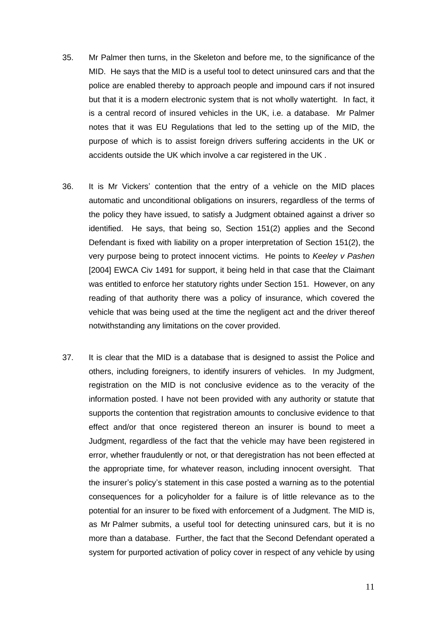- 35. Mr Palmer then turns, in the Skeleton and before me, to the significance of the MID. He says that the MID is a useful tool to detect uninsured cars and that the police are enabled thereby to approach people and impound cars if not insured but that it is a modern electronic system that is not wholly watertight. In fact, it is a central record of insured vehicles in the UK, i.e. a database. Mr Palmer notes that it was EU Regulations that led to the setting up of the MID, the purpose of which is to assist foreign drivers suffering accidents in the UK or accidents outside the UK which involve a car registered in the UK .
- 36. It is Mr Vickers' contention that the entry of a vehicle on the MID places automatic and unconditional obligations on insurers, regardless of the terms of the policy they have issued, to satisfy a Judgment obtained against a driver so identified. He says, that being so, Section 151(2) applies and the Second Defendant is fixed with liability on a proper interpretation of Section 151(2), the very purpose being to protect innocent victims. He points to *Keeley v Pashen*  [2004] EWCA Civ 1491 for support, it being held in that case that the Claimant was entitled to enforce her statutory rights under Section 151. However, on any reading of that authority there was a policy of insurance, which covered the vehicle that was being used at the time the negligent act and the driver thereof notwithstanding any limitations on the cover provided.
- 37. It is clear that the MID is a database that is designed to assist the Police and others, including foreigners, to identify insurers of vehicles. In my Judgment, registration on the MID is not conclusive evidence as to the veracity of the information posted. I have not been provided with any authority or statute that supports the contention that registration amounts to conclusive evidence to that effect and/or that once registered thereon an insurer is bound to meet a Judgment, regardless of the fact that the vehicle may have been registered in error, whether fraudulently or not, or that deregistration has not been effected at the appropriate time, for whatever reason, including innocent oversight. That the insurer's policy's statement in this case posted a warning as to the potential consequences for a policyholder for a failure is of little relevance as to the potential for an insurer to be fixed with enforcement of a Judgment. The MID is, as Mr Palmer submits, a useful tool for detecting uninsured cars, but it is no more than a database. Further, the fact that the Second Defendant operated a system for purported activation of policy cover in respect of any vehicle by using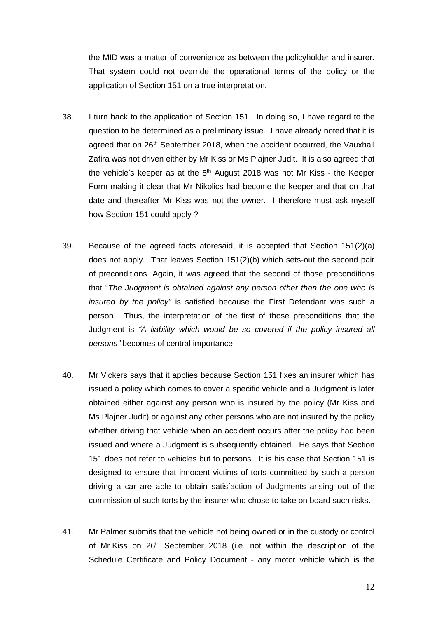the MID was a matter of convenience as between the policyholder and insurer. That system could not override the operational terms of the policy or the application of Section 151 on a true interpretation.

- 38. I turn back to the application of Section 151. In doing so, I have regard to the question to be determined as a preliminary issue. I have already noted that it is agreed that on  $26<sup>th</sup>$  September 2018, when the accident occurred, the Vauxhall Zafira was not driven either by Mr Kiss or Ms Plajner Judit. It is also agreed that the vehicle's keeper as at the 5<sup>th</sup> August 2018 was not Mr Kiss - the Keeper Form making it clear that Mr Nikolics had become the keeper and that on that date and thereafter Mr Kiss was not the owner. I therefore must ask myself how Section 151 could apply ?
- 39. Because of the agreed facts aforesaid, it is accepted that Section 151(2)(a) does not apply. That leaves Section 151(2)(b) which sets-out the second pair of preconditions. Again, it was agreed that the second of those preconditions that "*The Judgment is obtained against any person other than the one who is insured by the policy"* is satisfied because the First Defendant was such a person. Thus, the interpretation of the first of those preconditions that the Judgment is *"A liability which would be so covered if the policy insured all persons"* becomes of central importance.
- 40. Mr Vickers says that it applies because Section 151 fixes an insurer which has issued a policy which comes to cover a specific vehicle and a Judgment is later obtained either against any person who is insured by the policy (Mr Kiss and Ms Plajner Judit) or against any other persons who are not insured by the policy whether driving that vehicle when an accident occurs after the policy had been issued and where a Judgment is subsequently obtained. He says that Section 151 does not refer to vehicles but to persons. It is his case that Section 151 is designed to ensure that innocent victims of torts committed by such a person driving a car are able to obtain satisfaction of Judgments arising out of the commission of such torts by the insurer who chose to take on board such risks.
- 41. Mr Palmer submits that the vehicle not being owned or in the custody or control of Mr Kiss on 26<sup>th</sup> September 2018 (i.e. not within the description of the Schedule Certificate and Policy Document - any motor vehicle which is the